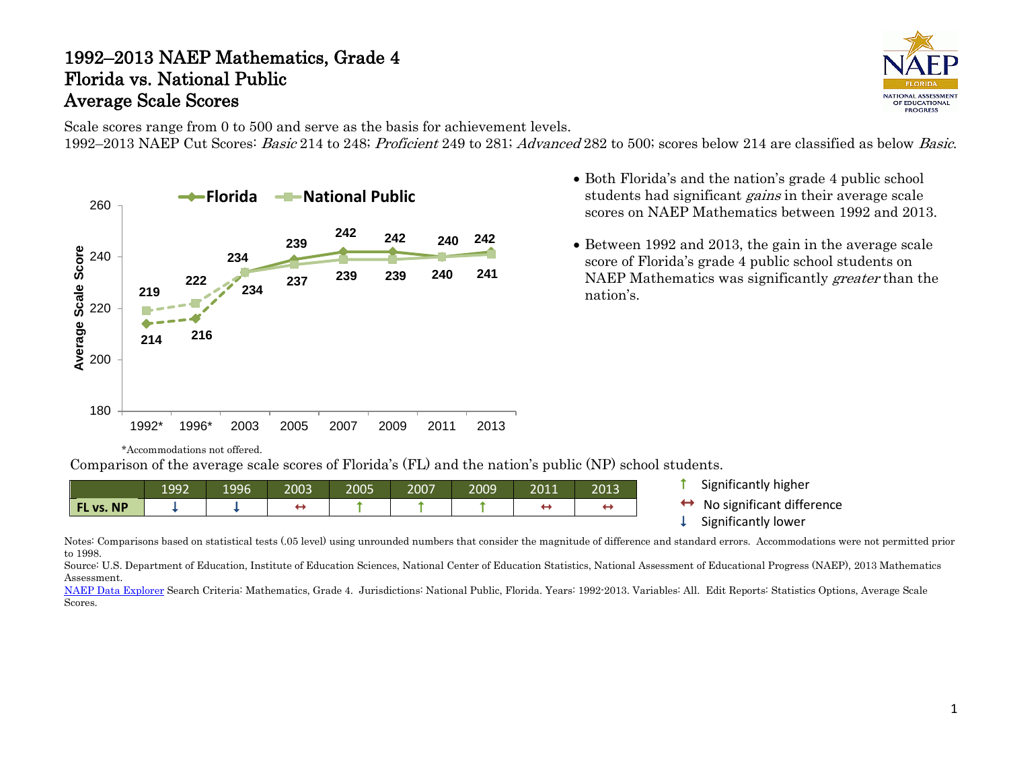#### 1992–2013 NAEP Mathematics, Grade 4 Florida vs. National Public Average Scale Scores



Scale scores range from 0 to 500 and serve as the basis for achievement levels. 1992–2013 NAEP Cut Scores: Basic 214 to 248; Proficient 249 to 281; Advanced 282 to 500; scores below 214 are classified as below Basic.



students had significant *gains* in their average scale scores on NAEP Mathematics between 1992 and 2013.

• Both Florida's and the nation's grade 4 public school

• Between 1992 and 2013, the gain in the average scale score of Florida's grade 4 public school students on NAEP Mathematics was significantly greater than the nation's.

\*Accommodations not offered.

Comparison of the average scale scores of Florida's (FL) and the nation's public (NP) school students.

|           | 1992 | 1996 | 2003 | 2005 | 2007 | 2009 | 2011 | 2013 |
|-----------|------|------|------|------|------|------|------|------|
| FL vs. NP |      |      |      |      |      |      |      |      |

- **1** Significantly higher
- $\leftrightarrow$  No significant difference<br>  $\downarrow$  Significantly lower
- 

Notes: Comparisons based on statistical tests (.05 level) using unrounded numbers that consider the magnitude of difference and standard errors. Accommodations were not permitted prior to 1998.

Source: U.S. Department of Education, Institute of Education Sciences, National Center of Education Statistics, National Assessment of Educational Progress (NAEP), 2013 Mathematics Assessment.

[NAEP Data Explorer](http://nces.ed.gov/nationsreportcard/naepdata/) Search Criteria: Mathematics, Grade 4. Jurisdictions: National Public, Florida. Years: 1992-2013. Variables: All. Edit Reports: Statistics Options, Average Scale Scores.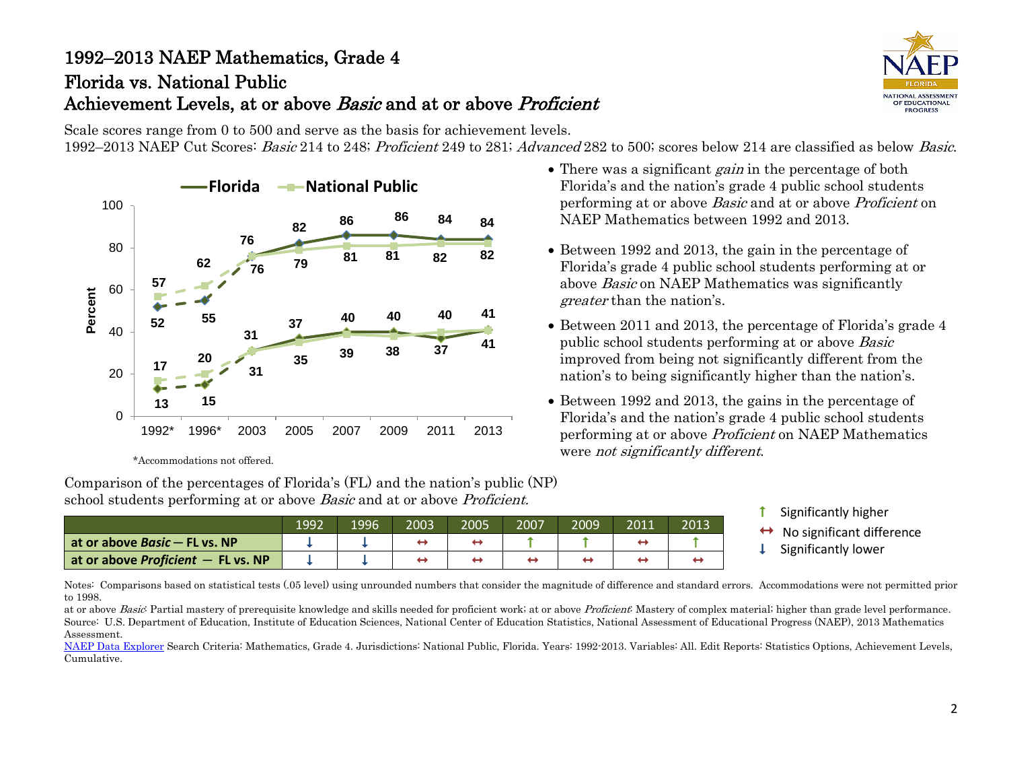# 1992–2013 NAEP Mathematics, Grade 4 Florida vs. National Public Achievement Levels, at or above Basic and at or above Proficient

**ATIONAL ASSESSMEN** OF EDUCATIONAL PROGRESS

Scale scores range from 0 to 500 and serve as the basis for achievement levels. 1992–2013 NAEP Cut Scores: *Basic* 214 to 248; *Proficient* 249 to 281; *Advanced* 282 to 500; scores below 214 are classified as below *Basic*.



\*Accommodations not offered.

Comparison of the percentages of Florida's (FL) and the nation's public (NP) school students performing at or above *Basic* and at or above *Proficient*.

1992 1996 2003 2005 2007 2009 2011 2013 **at or above** *Basic* ─ **FL vs. NP at or above Proficient** — **FL vs. NP**  $\begin{array}{|c|c|c|c|c|c|}\n\downarrow & \downarrow & \leftrightarrow & \leftrightarrow & \leftrightarrow & \leftrightarrow & \leftrightarrow & \leftrightarrow & \leftrightarrow \end{array}$ T

- There was a significant *gain* in the percentage of both Florida's and the nation's grade 4 public school students performing at or above Basic and at or above Proficient on NAEP Mathematics between 1992 and 2013.
- Between 1992 and 2013, the gain in the percentage of Florida's grade 4 public school students performing at or above Basic on NAEP Mathematics was significantly greater than the nation's.
- Between 2011 and 2013, the percentage of Florida's grade 4 public school students performing at or above Basic improved from being not significantly different from the nation's to being significantly higher than the nation's.
- Between 1992 and 2013, the gains in the percentage of Florida's and the nation's grade 4 public school students performing at or above Proficient on NAEP Mathematics were not significantly different.
	- Significantly higher
	- No significant difference Significantly lower
	-

Notes: Comparisons based on statistical tests (.05 level) using unrounded numbers that consider the magnitude of difference and standard errors. Accommodations were not permitted prior to 1998.

at or above Basic Partial mastery of prerequisite knowledge and skills needed for proficient work; at or above Proficient: Mastery of complex material; higher than grade level performance. Source: U.S. Department of Education, Institute of Education Sciences, National Center of Education Statistics, National Assessment of Educational Progress (NAEP), 2013 Mathematics Assessment.

[NAEP Data Explorer](http://nces.ed.gov/nationsreportcard/naepdata/) Search Criteria: Mathematics, Grade 4. Jurisdictions: National Public, Florida. Years: 1992-2013. Variables: All. Edit Reports: Statistics Options, Achievement Levels, Cumulative.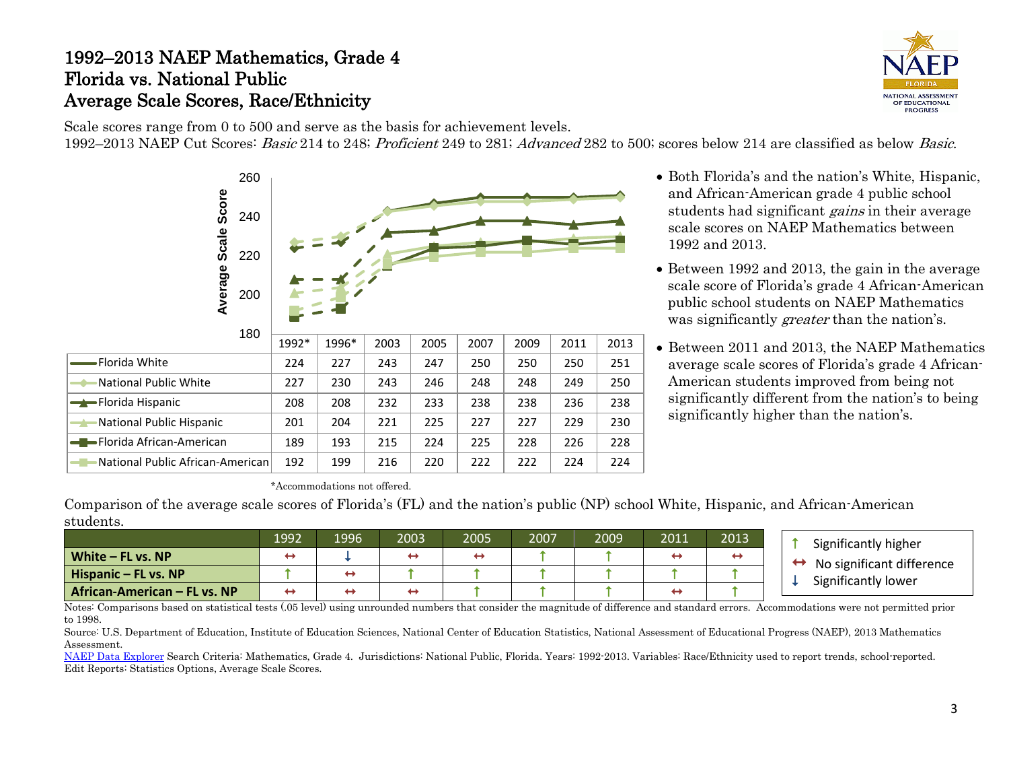#### 1992–2013 NAEP Mathematics, Grade 4 Florida vs. National Public Average Scale Scores, Race/Ethnicity



Scale scores range from 0 to 500 and serve as the basis for achievement levels. 1992–2013 NAEP Cut Scores: Basic 214 to 248; Proficient 249 to 281; Advanced 282 to 500; scores below 214 are classified as below Basic.



- Both Florida's and the nation's White, Hispanic, and African-American grade 4 public school students had significant *gains* in their average scale scores on NAEP Mathematics between 1992 and 2013.
- Between 1992 and 2013, the gain in the average scale score of Florida's grade 4 African-American public school students on NAEP Mathematics was significantly *greater* than the nation's.
- Between 2011 and 2013, the NAEP Mathematics average scale scores of Florida's grade 4 African-American students improved from being not significantly different from the nation's to being significantly higher than the nation's.

\*Accommodations not offered.

Comparison of the average scale scores of Florida's (FL) and the nation's public (NP) school White, Hispanic, and African-American students.

|                              | 1992 | 1996 | 2003 | 2005 | 2007 | 2009 | 2011 | 2013 | Significantly higher           |
|------------------------------|------|------|------|------|------|------|------|------|--------------------------------|
| White - FL vs. NP            |      |      |      |      |      |      |      | ↤    | No significant difference<br>← |
| Hispanic – FL vs. NP         |      |      |      |      |      |      |      |      | Significantly lower            |
| African-American - FL vs. NP |      |      |      |      |      |      |      |      |                                |

Notes: Comparisons based on statistical tests (.05 level) using unrounded numbers that consider the magnitude of difference and standard errors. Accommodations were not permitted prior to 1998.

Source: U.S. Department of Education, Institute of Education Sciences, National Center of Education Statistics, National Assessment of Educational Progress (NAEP), 2013 Mathematics Assessment.

[NAEP Data Explorer](http://nces.ed.gov/nationsreportcard/naepdata/) Search Criteria: Mathematics, Grade 4. Jurisdictions: National Public, Florida. Years: 1992-2013. Variables: Race/Ethnicity used to report trends, school-reported. Edit Reports: Statistics Options, Average Scale Scores.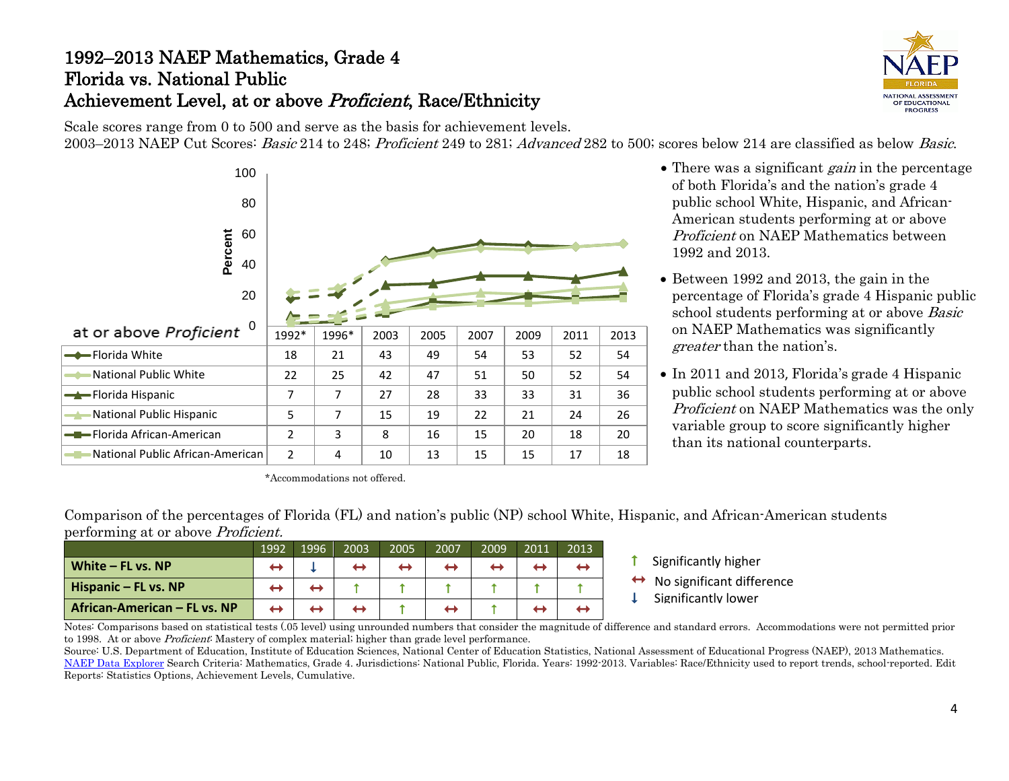# 1992–2013 NAEP Mathematics, Grade 4 Florida vs. National Public Achievement Level, at or above Proficient, Race/Ethnicity



Scale scores range from 0 to 500 and serve as the basis for achievement levels. 2003–2013 NAEP Cut Scores: Basic 214 to 248; Proficient 249 to 281; Advanced 282 to 500; scores below 214 are classified as below Basic.



\*Accommodations not offered.

- There was a significant *gain* in the percentage of both Florida's and the nation's grade 4 public school White, Hispanic, and African-American students performing at or above Proficient on NAEP Mathematics between 1992 and 2013.
- Between 1992 and 2013, the gain in the percentage of Florida's grade 4 Hispanic public school students performing at or above Basic on NAEP Mathematics was significantly greater than the nation's.
- In 2011 and 2013, Florida's grade 4 Hispanic public school students performing at or above Proficient on NAEP Mathematics was the only variable group to score significantly higher than its national counterparts.

Comparison of the percentages of Florida (FL) and nation's public (NP) school White, Hispanic, and African-American students performing at or above Proficient.

|                              | 1992 | 1996 | 2003 | 2005 | 2007 | 2009 | 2011 | 2013' |  |
|------------------------------|------|------|------|------|------|------|------|-------|--|
| White $-$ FL vs. NP          |      |      |      |      |      |      |      |       |  |
| Hispanic - FL vs. NP         |      |      |      |      |      |      |      |       |  |
| African-American – FL vs. NP |      |      |      |      |      |      |      |       |  |

- $\uparrow$  Significantly higher
- No significant difference Significantly lower
- 

Notes: Comparisons based on statistical tests (.05 level) using unrounded numbers that consider the magnitude of difference and standard errors. Accommodations were not permitted prior to 1998. At or above *Proficient*: Mastery of complex material; higher than grade level performance.

Source: U.S. Department of Education, Institute of Education Sciences, National Center of Education Statistics, National Assessment of Educational Progress (NAEP), 2013 Mathematics. [NAEP Data Explorer](http://nces.ed.gov/nationsreportcard/naepdata/) Search Criteria: Mathematics, Grade 4. Jurisdictions: National Public, Florida. Years: 1992-2013. Variables: Race/Ethnicity used to report trends, school-reported. Edit Reports: Statistics Options, Achievement Levels, Cumulative.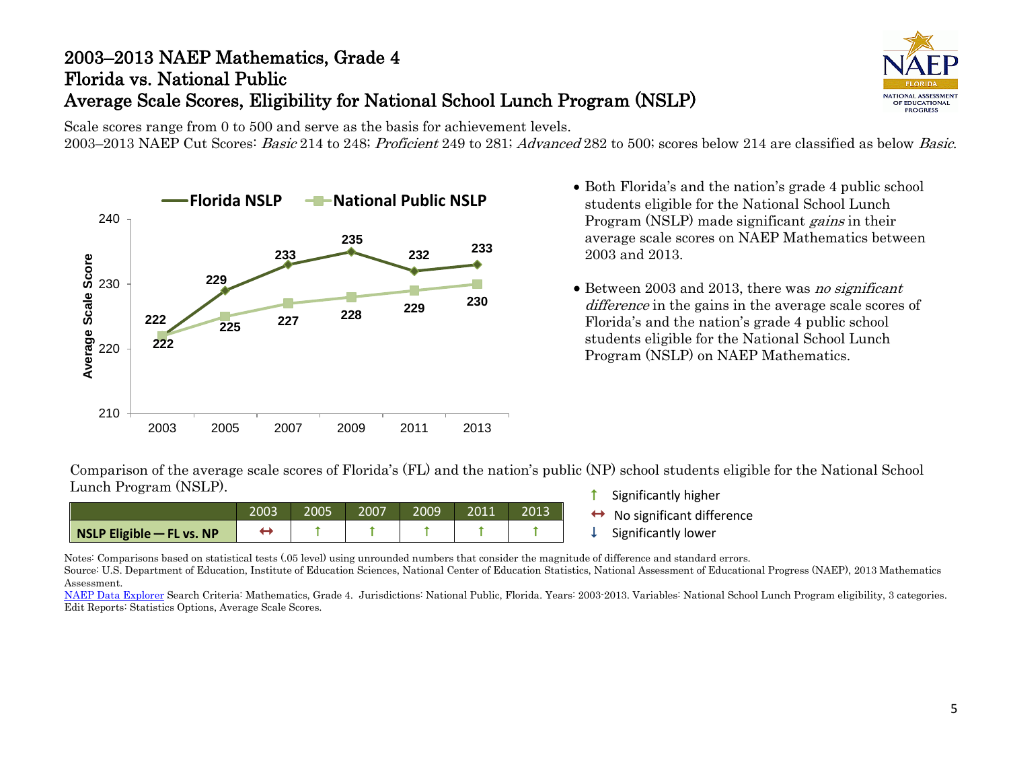# 2003–2013 NAEP Mathematics, Grade 4 Florida vs. National Public Average Scale Scores, Eligibility for National School Lunch Program (NSLP)



Scale scores range from 0 to 500 and serve as the basis for achievement levels. 2003–2013 NAEP Cut Scores: Basic 214 to 248; Proficient 249 to 281; Advanced 282 to 500; scores below 214 are classified as below Basic.



- **Florida NSLP -** National Public NSLP Both Florida's and the nation's grade 4 public school Public NSLP students eligible for the National School Lunch students eligible for the National School Lunch Program (NSLP) made significant *gains* in their average scale scores on NAEP Mathematics between 2003 and 2013.
	- Between 2003 and 2013, there was no significant difference in the gains in the average scale scores of Florida's and the nation's grade 4 public school students eligible for the National School Lunch Program (NSLP) on NAEP Mathematics.

Comparison of the average scale scores of Florida's (FL) and the nation's public (NP) school students eligible for the National School Lunch Program (NSLP).

|                             | 2003 | 2005 | 2007 | 2009 | 2011 | 2013 |
|-----------------------------|------|------|------|------|------|------|
| NSLP Eligible $-$ FL vs. NP |      |      |      |      |      |      |

- **1** Significantly higher
- $\leftrightarrow$  No significant difference<br>  $\downarrow$  Significantly lower
- 

Notes: Comparisons based on statistical tests (.05 level) using unrounded numbers that consider the magnitude of difference and standard errors.

Source: U.S. Department of Education, Institute of Education Sciences, National Center of Education Statistics, National Assessment of Educational Progress (NAEP), 2013 Mathematics Assessment.

[NAEP Data Explorer](http://nces.ed.gov/nationsreportcard/naepdata/) Search Criteria: Mathematics, Grade 4. Jurisdictions: National Public, Florida. Years: 2003-2013. Variables: National School Lunch Program eligibility, 3 categories. Edit Reports: Statistics Options, Average Scale Scores.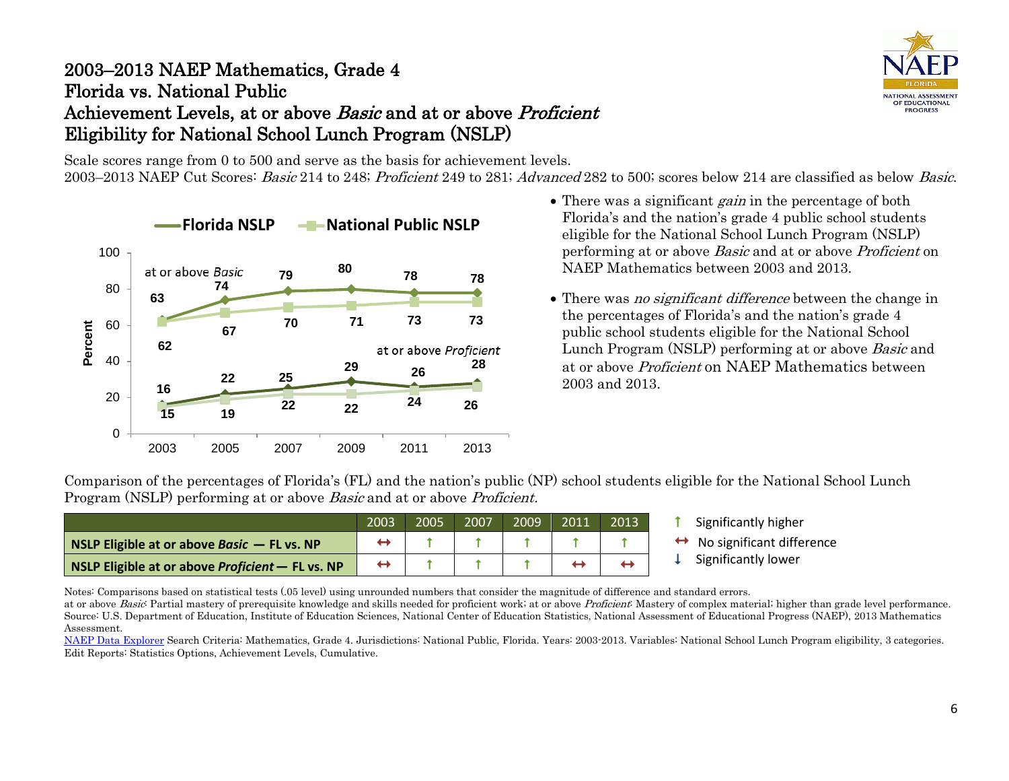## 2003–2013 NAEP Mathematics, Grade 4 Florida vs. National Public Achievement Levels, at or above *Basic* and at or above *Proficient* Eligibility for National School Lunch Program (NSLP)

Scale scores range from 0 to 500 and serve as the basis for achievement levels.

2003–2013 NAEP Cut Scores: Basic 214 to 248; Proficient 249 to 281; Advanced 282 to 500; scores below 214 are classified as below Basic.



- There was a significant *gain* in the percentage of both Florida's and the nation's grade 4 public school students eligible for the National School Lunch Program (NSLP) performing at or above Basic and at or above Proficient on NAEP Mathematics between 2003 and 2013.
- There was *no significant difference* between the change in the percentages of Florida's and the nation's grade 4 public school students eligible for the National School Lunch Program (NSLP) performing at or above Basic and at or above Proficient on NAEP Mathematics between 2003 and 2013.

Comparison of the percentages of Florida's (FL) and the nation's public (NP) school students eligible for the National School Lunch Program (NSLP) performing at or above *Basic* and at or above *Proficient*.

|                                                    | 2003 | 2005 | 2007 | 2009 | 2011 | <b>2013.</b> |
|----------------------------------------------------|------|------|------|------|------|--------------|
| NSLP Eligible at or above Basic $-$ FL vs. NP      |      |      |      |      |      |              |
| NSLP Eligible at or above Proficient $-$ FL vs. NP | ↔    |      |      |      |      |              |

- Significantly higher
- $\leftrightarrow$  No significant difference<br>  $\downarrow$  Significantly lower
	-

Notes: Comparisons based on statistical tests (.05 level) using unrounded numbers that consider the magnitude of difference and standard errors.

at or above *Basic*: Partial mastery of prerequisite knowledge and skills needed for proficient work; at or above *Proficient*: Mastery of complex material; higher than grade level performance. Source: U.S. Department of Education, Institute of Education Sciences, National Center of Education Statistics, National Assessment of Educational Progress (NAEP), 2013 Mathematics Assessment.

[NAEP Data Explorer](http://nces.ed.gov/nationsreportcard/naepdata/) Search Criteria: Mathematics, Grade 4. Jurisdictions: National Public, Florida. Years: 2003-2013. Variables: National School Lunch Program eligibility, 3 categories. Edit Reports: Statistics Options, Achievement Levels, Cumulative.

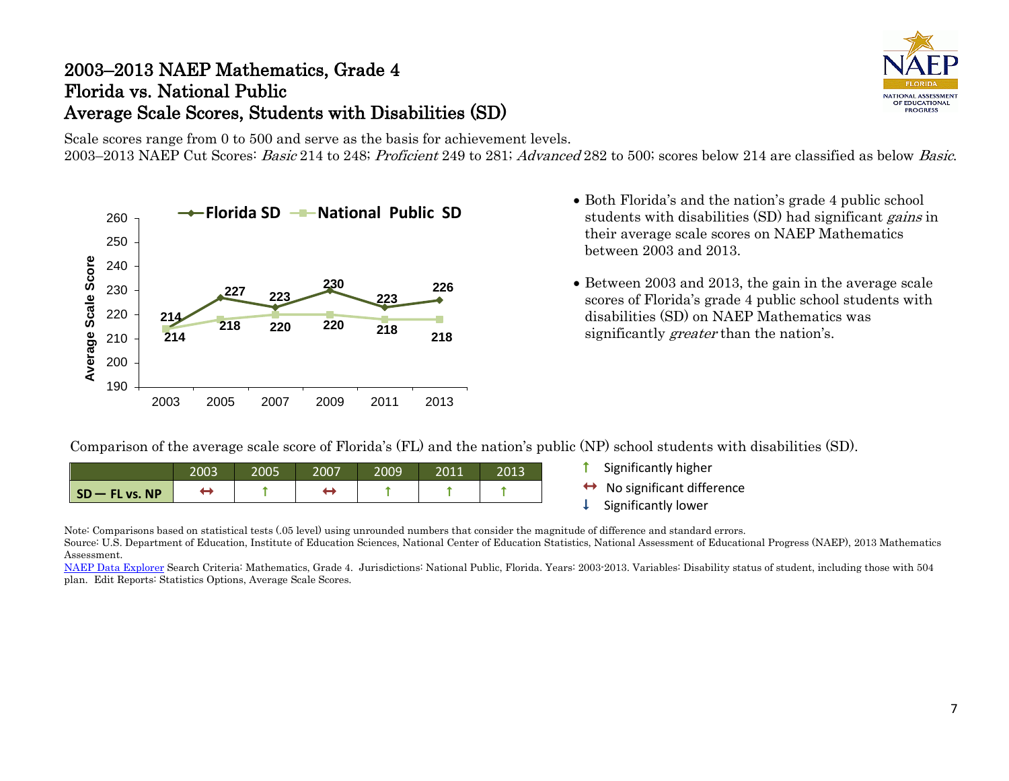## 2003–2013 NAEP Mathematics, Grade 4 Florida vs. National Public Average Scale Scores, Students with Disabilities (SD)



Scale scores range from 0 to 500 and serve as the basis for achievement levels. 2003–2013 NAEP Cut Scores: Basic 214 to 248; Proficient 249 to 281; Advanced 282 to 500; scores below 214 are classified as below Basic.



- **Florida SD - National Public SD** Both Florida's and the nation's grade 4 public school students with disabilities (SD) had significant *gains* in their average scale scores on NAEP Mathematics between 2003 and 2013.
	- Between 2003 and 2013, the gain in the average scale scores of Florida's grade 4 public school students with disabilities (SD) on NAEP Mathematics was significantly *greater* than the nation's.

Comparison of the average scale score of Florida's (FL) and the nation's public (NP) school students with disabilities (SD).

|                    | 2003 | 2005 | 2007 | 2009 | 2011 | 2013 |
|--------------------|------|------|------|------|------|------|
| $SD - FL$ vs. $NP$ |      |      |      |      |      |      |

- **f** Significantly higher
- $\leftrightarrow$  No significant difference<br>  $\downarrow$  Significantly lower
- 

Note: Comparisons based on statistical tests (.05 level) using unrounded numbers that consider the magnitude of difference and standard errors.

Source: U.S. Department of Education, Institute of Education Sciences, National Center of Education Statistics, National Assessment of Educational Progress (NAEP), 2013 Mathematics Assessment.

[NAEP Data Explorer](http://nces.ed.gov/nationsreportcard/naepdata/) Search Criteria: Mathematics, Grade 4. Jurisdictions: National Public, Florida. Years: 2003-2013. Variables: Disability status of student, including those with 504 plan. Edit Reports: Statistics Options, Average Scale Scores.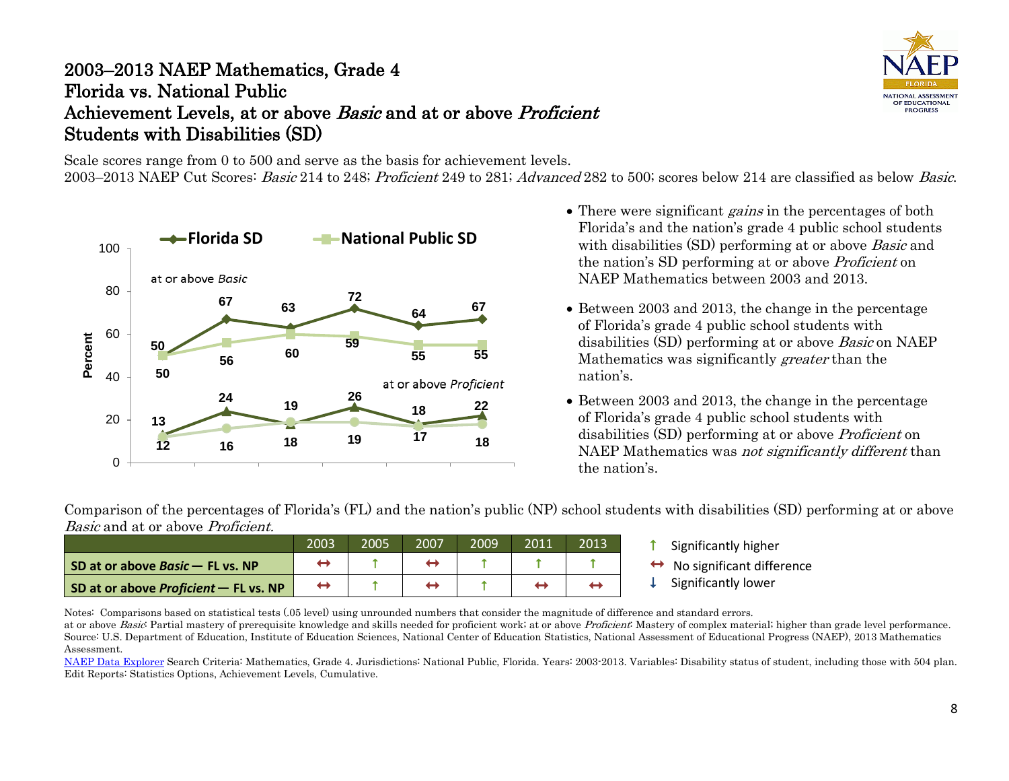# 2003–2013 NAEP Mathematics, Grade 4 Florida vs. National Public Achievement Levels, at or above *Basic* and at or above *Proficient* Students with Disabilities (SD)

Scale scores range from 0 to 500 and serve as the basis for achievement levels.

2003–2013 NAEP Cut Scores: Basic 214 to 248; Proficient 249 to 281; Advanced 282 to 500; scores below 214 are classified as below Basic.



- There were significant *gains* in the percentages of both Florida's and the nation's grade 4 public school students with disabilities (SD) performing at or above *Basic* and the nation's SD performing at or above Proficient on NAEP Mathematics between 2003 and 2013.
- Between 2003 and 2013, the change in the percentage of Florida's grade 4 public school students with disabilities (SD) performing at or above Basic on NAEP Mathematics was significantly *greater* than the nation's.
- Between 2003 and 2013, the change in the percentage of Florida's grade 4 public school students with disabilities (SD) performing at or above Proficient on NAEP Mathematics was *not significantly different* than the nation's.

Comparison of the percentages of Florida's (FL) and the nation's public (NP) school students with disabilities (SD) performing at or above Basic and at or above *Proficient*.

|                                         | 2003 | 2005 | 2007 | 2009 | 2011 | 2013. |
|-----------------------------------------|------|------|------|------|------|-------|
| SD at or above <i>Basic</i> - FL vs. NP |      |      |      |      |      |       |
| SD at or above Proficient - FL vs. NP   |      |      |      |      |      |       |

- Significantly higher
- $\leftrightarrow$  No significant difference<br>  $\downarrow$  Significantly lower
- 

Notes: Comparisons based on statistical tests (.05 level) using unrounded numbers that consider the magnitude of difference and standard errors.

at or above Basic Partial mastery of prerequisite knowledge and skills needed for proficient work; at or above Proficient: Mastery of complex material; higher than grade level performance. Source: U.S. Department of Education, Institute of Education Sciences, National Center of Education Statistics, National Assessment of Educational Progress (NAEP), 2013 Mathematics Assessment.

[NAEP Data Explorer](http://nces.ed.gov/nationsreportcard/naepdata/) Search Criteria: Mathematics, Grade 4. Jurisdictions: National Public, Florida. Years: 2003-2013. Variables: Disability status of student, including those with 504 plan. Edit Reports: Statistics Options, Achievement Levels, Cumulative.

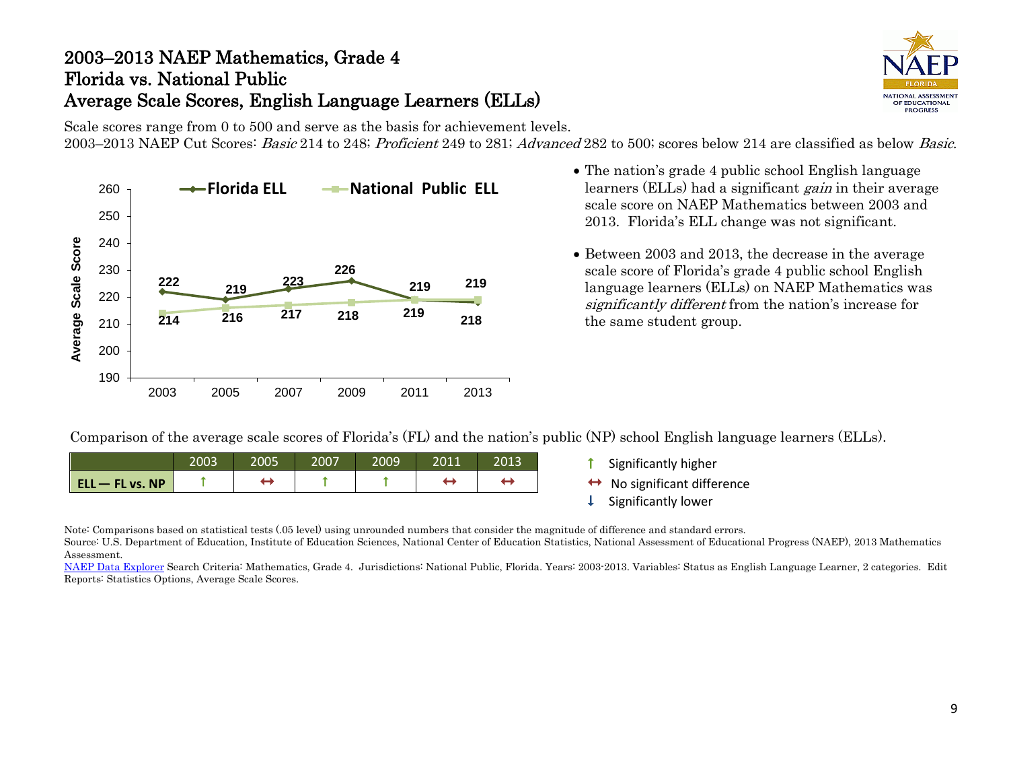## 2003–2013 NAEP Mathematics, Grade 4 Florida vs. National Public Average Scale Scores, English Language Learners (ELLs)



Scale scores range from 0 to 500 and serve as the basis for achievement levels. 2003–2013 NAEP Cut Scores: Basic 214 to 248; Proficient 249 to 281; Advanced 282 to 500; scores below 214 are classified as below Basic.



- The nation's grade 4 public school English language learners (ELLs) had a significant *gain* in their average scale score on NAEP Mathematics between 2003 and 2013. Florida's ELL change was not significant.
- Between 2003 and 2013, the decrease in the average scale score of Florida's grade 4 public school English language learners (ELLs) on NAEP Mathematics was significantly different from the nation's increase for the same student group.

Comparison of the average scale scores of Florida's (FL) and the nation's public (NP) school English language learners (ELLs).

|                   | 2003 | 2005 | 2007 | 2009 | 2011 | 2013 |
|-------------------|------|------|------|------|------|------|
| $ELL - FL vs. NP$ |      |      |      |      | ←    |      |

- **t** Significantly higher
- $\leftrightarrow$  No significant difference<br>  $\downarrow$  Significantly lower
- 

Note: Comparisons based on statistical tests (.05 level) using unrounded numbers that consider the magnitude of difference and standard errors.

Source: U.S. Department of Education, Institute of Education Sciences, National Center of Education Statistics, National Assessment of Educational Progress (NAEP), 2013 Mathematics Assessment.

[NAEP Data Explorer](http://nces.ed.gov/nationsreportcard/naepdata/) Search Criteria: Mathematics, Grade 4. Jurisdictions: National Public, Florida. Years: 2003-2013. Variables: Status as English Language Learner, 2 categories. Edit Reports: Statistics Options, Average Scale Scores.